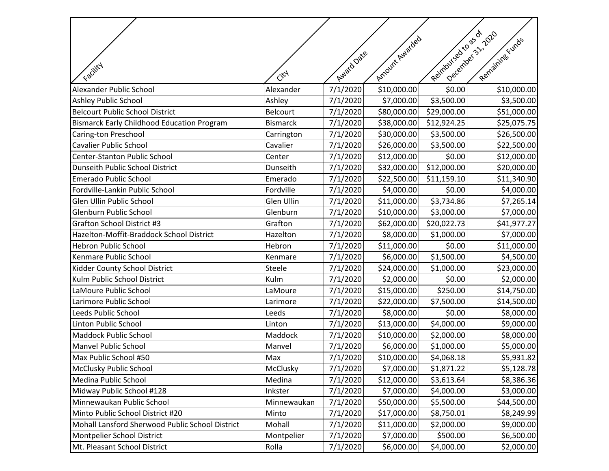|                                                   |                        | Avaid Date | Amount Awarded | Reinhoursearcasus | Jeelenieer 31, 2020<br>Remaining Funds |
|---------------------------------------------------|------------------------|------------|----------------|-------------------|----------------------------------------|
| Facility                                          |                        |            |                |                   |                                        |
|                                                   | $\ddot{C}^{\dot{C}^A}$ |            |                |                   |                                        |
| Alexander Public School                           | Alexander              | 7/1/2020   | \$10,000.00    | \$0.00            | \$10,000.00                            |
| Ashley Public School                              | Ashley                 | 7/1/2020   | \$7,000.00     | \$3,500.00        | \$3,500.00                             |
| <b>Belcourt Public School District</b>            | Belcourt               | 7/1/2020   | \$80,000.00    | \$29,000.00       | \$51,000.00                            |
| <b>Bismarck Early Childhood Education Program</b> | <b>Bismarck</b>        | 7/1/2020   | \$38,000.00    | \$12,924.25       | \$25,075.75                            |
| Caring-ton Preschool                              | Carrington             | 7/1/2020   | \$30,000.00    | \$3,500.00        | \$26,500.00                            |
| <b>Cavalier Public School</b>                     | Cavalier               | 7/1/2020   | \$26,000.00    | \$3,500.00        | \$22,500.00                            |
| Center-Stanton Public School                      | Center                 | 7/1/2020   | \$12,000.00    | \$0.00            | \$12,000.00                            |
| Dunseith Public School District                   | Dunseith               | 7/1/2020   | \$32,000.00    | \$12,000.00       | \$20,000.00                            |
| <b>Emerado Public School</b>                      | Emerado                | 7/1/2020   | \$22,500.00    | \$11,159.10       | \$11,340.90                            |
| Fordville-Lankin Public School                    | Fordville              | 7/1/2020   | \$4,000.00     | \$0.00            | \$4,000.00                             |
| Glen Ullin Public School                          | Glen Ullin             | 7/1/2020   | \$11,000.00    | \$3,734.86        | \$7,265.14                             |
| Glenburn Public School                            | Glenburn               | 7/1/2020   | \$10,000.00    | \$3,000.00        | \$7,000.00                             |
| <b>Grafton School District #3</b>                 | Grafton                | 7/1/2020   | \$62,000.00    | \$20,022.73       | \$41,977.27                            |
| Hazelton-Moffit-Braddock School District          | Hazelton               | 7/1/2020   | \$8,000.00     | \$1,000.00        | \$7,000.00                             |
| <b>Hebron Public School</b>                       | Hebron                 | 7/1/2020   | \$11,000.00    | \$0.00            | \$11,000.00                            |
| Kenmare Public School                             | Kenmare                | 7/1/2020   | \$6,000.00     | \$1,500.00        | \$4,500.00                             |
| Kidder County School District                     | Steele                 | 7/1/2020   | \$24,000.00    | \$1,000.00        | \$23,000.00                            |
| Kulm Public School District                       | Kulm                   | 7/1/2020   | \$2,000.00     | \$0.00            | \$2,000.00                             |
| LaMoure Public School                             | LaMoure                | 7/1/2020   | \$15,000.00    | \$250.00          | \$14,750.00                            |
| Larimore Public School                            | Larimore               | 7/1/2020   | \$22,000.00    | \$7,500.00        | \$14,500.00                            |
| Leeds Public School                               | Leeds                  | 7/1/2020   | \$8,000.00     | \$0.00            | \$8,000.00                             |
| Linton Public School                              | Linton                 | 7/1/2020   | \$13,000.00    | \$4,000.00        | \$9,000.00                             |
| <b>Maddock Public School</b>                      | Maddock                | 7/1/2020   | \$10,000.00    | \$2,000.00        | \$8,000.00                             |
| <b>Manvel Public School</b>                       | Manvel                 | 7/1/2020   | \$6,000.00     | \$1,000.00        | \$5,000.00                             |
| Max Public School #50                             | Max                    | 7/1/2020   | \$10,000.00    | \$4,068.18        | \$5,931.82                             |
| McClusky Public School                            | McClusky               | 7/1/2020   | \$7,000.00     | \$1,871.22        | \$5,128.78                             |
| Medina Public School                              | Medina                 | 7/1/2020   | \$12,000.00    | \$3,613.64        | \$8,386.36                             |
| Midway Public School #128                         | Inkster                | 7/1/2020   | \$7,000.00     | \$4,000.00        | \$3,000.00                             |
| Minnewaukan Public School                         | Minnewaukan            | 7/1/2020   | \$50,000.00    | \$5,500.00        | \$44,500.00                            |
| Minto Public School District #20                  | Minto                  | 7/1/2020   | \$17,000.00    | \$8,750.01        | \$8,249.99                             |
| Mohall Lansford Sherwood Public School District   | Mohall                 | 7/1/2020   | \$11,000.00    | \$2,000.00        | \$9,000.00                             |
| Montpelier School District                        | Montpelier             | 7/1/2020   | \$7,000.00     | \$500.00          | \$6,500.00                             |
| Mt. Pleasant School District                      | Rolla                  | 7/1/2020   | \$6,000.00     | \$4,000.00        | \$2,000.00                             |